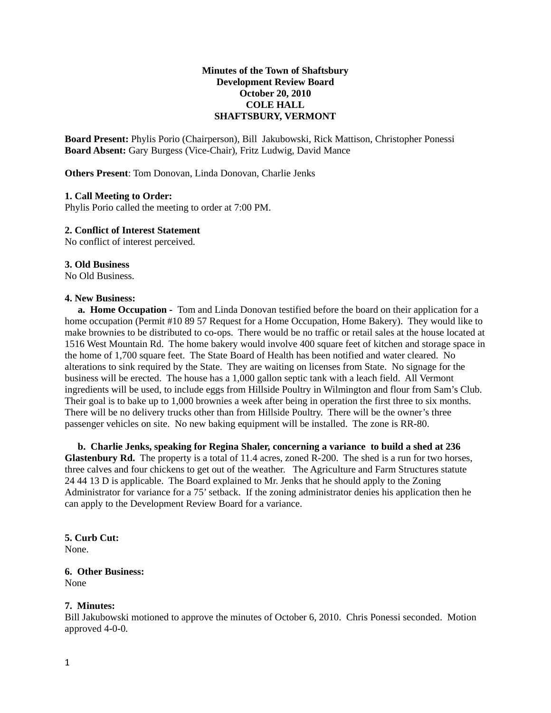# **Minutes of the Town of Shaftsbury Development Review Board October 20, 2010 COLE HALL SHAFTSBURY, VERMONT**

**Board Present:** Phylis Porio (Chairperson), Bill Jakubowski, Rick Mattison, Christopher Ponessi **Board Absent:** Gary Burgess (Vice-Chair), Fritz Ludwig, David Mance

**Others Present**: Tom Donovan, Linda Donovan, Charlie Jenks

## **1. Call Meeting to Order:**

Phylis Porio called the meeting to order at 7:00 PM.

## **2. Conflict of Interest Statement**

No conflict of interest perceived.

## **3. Old Business**

No Old Business.

#### **4. New Business:**

**a. Home Occupation -** Tom and Linda Donovan testified before the board on their application for a home occupation (Permit #10 89 57 Request for a Home Occupation, Home Bakery). They would like to make brownies to be distributed to co-ops. There would be no traffic or retail sales at the house located at 1516 West Mountain Rd. The home bakery would involve 400 square feet of kitchen and storage space in the home of 1,700 square feet. The State Board of Health has been notified and water cleared. No alterations to sink required by the State. They are waiting on licenses from State. No signage for the business will be erected. The house has a 1,000 gallon septic tank with a leach field. All Vermont ingredients will be used, to include eggs from Hillside Poultry in Wilmington and flour from Sam's Club. Their goal is to bake up to 1,000 brownies a week after being in operation the first three to six months. There will be no delivery trucks other than from Hillside Poultry. There will be the owner's three passenger vehicles on site. No new baking equipment will be installed. The zone is RR-80.

**b. Charlie Jenks, speaking for Regina Shaler, concerning a variance to build a shed at 236 Glastenbury Rd.** The property is a total of 11.4 acres, zoned R-200. The shed is a run for two horses, three calves and four chickens to get out of the weather. The Agriculture and Farm Structures statute 24 44 13 D is applicable. The Board explained to Mr. Jenks that he should apply to the Zoning Administrator for variance for a 75' setback. If the zoning administrator denies his application then he can apply to the Development Review Board for a variance.

**5. Curb Cut:** None.

# **6. Other Business:** None

# **7. Minutes:**

Bill Jakubowski motioned to approve the minutes of October 6, 2010. Chris Ponessi seconded. Motion approved 4-0-0.